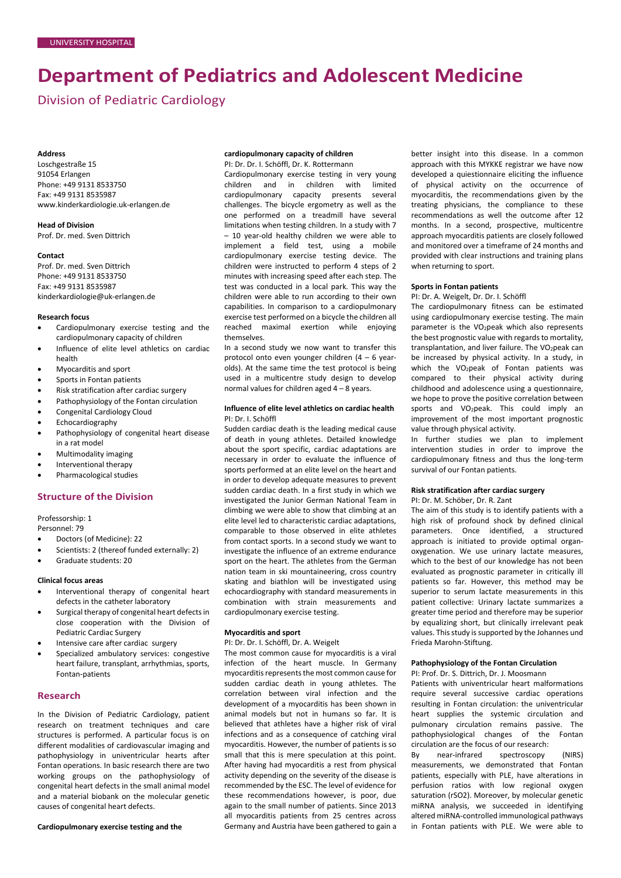# **Department of Pediatrics and Adolescent Medicine**

Division of Pediatric Cardiology

### **Address**

Loschgestraße 15 91054 Erlangen Phone: +49 9131 8533750 Fax: +49 9131 8535987 [www.kinderkardiologie.uk-erlangen.de](http://www.kinderkardiologie.uk-erlangen.de/)

**Head of Division** Prof. Dr. med. Sven Dittrich

### **Contact**

Prof. Dr. med. Sven Dittrich Phone: +49 9131 8533750 Fax: +49 9131 8535987 [kinderkardiologie@uk-erlangen.de](mailto:kinderkardiologie@uk-erlangen.de)

### **Research focus**

- Cardiopulmonary exercise testing and the cardiopulmonary capacity of children
- Influence of elite level athletics on cardiac health
- Myocarditis and sport
- Sports in Fontan patients
- Risk stratification after cardiac surgery
- Pathophysiology of the Fontan circulation
- Congenital Cardiology Cloud
- Echocardiography
- Pathophysiology of congenital heart disease in a rat model
- Multimodality imaging
- Interventional therapy
- Pharmacological studies

### **Structure of the Division**

Professorship: 1

Personnel: 79

- Doctors (of Medicine): 22
- Scientists: 2 (thereof funded externally: 2)
- Graduate students: 20

### **Clinical focus areas**

- Interventional therapy of congenital heart defects in the catheter laboratory
- Surgical therapy of congenital heart defects in close cooperation with the Division of Pediatric Cardiac Surgery
- Intensive care after cardiac surgery
- Specialized ambulatory services: congestive heart failure, transplant, arrhythmias, sports, Fontan-patients

### **Research**

In the Division of Pediatric Cardiology, patient research on treatment techniques and care structures is performed. A particular focus is on different modalities of cardiovascular imaging and pathophysiology in univentricular hearts after Fontan operations. In basic research there are two working groups on the pathophysiology of congenital heart defects in the small animal model and a material biobank on the molecular genetic causes of congenital heart defects.

# **Cardiopulmonary exercise testing and the**

### **cardiopulmonary capacity of children** PI: Dr. Dr. I. Schöffl, Dr. K. Rottermann

Cardiopulmonary exercise testing in very young children and in children with limited cardiopulmonary capacity presents several challenges. The bicycle ergometry as well as the one performed on a treadmill have several limitations when testing children. In a study with 7 – 10 year-old healthy children we were able to implement a field test, using a mobile cardiopulmonary exercise testing device. The children were instructed to perform 4 steps of 2 minutes with increasing speed after each step. The test was conducted in a local park. This way the children were able to run according to their own capabilities. In comparison to a cardiopulmonary exercise test performed on a bicycle the children all reached maximal exertion while enjoying themselves.

In a second study we now want to transfer this protocol onto even younger children (4 – 6 yearolds). At the same time the test protocol is being used in a multicentre study design to develop normal values for children aged 4 – 8 years.

# **Influence of elite level athletics on cardiac health** PI: Dr. I. Schöffl

Sudden cardiac death is the leading medical cause of death in young athletes. Detailed knowledge about the sport specific, cardiac adaptations are necessary in order to evaluate the influence of sports performed at an elite level on the heart and in order to develop adequate measures to prevent sudden cardiac death. In a first study in which we investigated the Junior German National Team in climbing we were able to show that climbing at an elite level led to characteristic cardiac adaptations, comparable to those observed in elite athletes from contact sports. In a second study we want to investigate the influence of an extreme endurance sport on the heart. The athletes from the German nation team in ski mountaineering, cross country skating and biathlon will be investigated using echocardiography with standard measurements in combination with strain measurements and cardiopulmonary exercise testing.

# **Myocarditis and sport**

PI: Dr. Dr. I. Schöffl, Dr. A. Weigelt

The most common cause for myocarditis is a viral infection of the heart muscle. In Germany myocarditis represents the most common cause for sudden cardiac death in young athletes. The correlation between viral infection and the development of a myocarditis has been shown in animal models but not in humans so far. It is believed that athletes have a higher risk of viral infections and as a consequence of catching viral myocarditis. However, the number of patients is so small that this is mere speculation at this point. After having had myocarditis a rest from physical activity depending on the severity of the disease is recommended by the ESC. The level of evidence for these recommendations however, is poor, due again to the small number of patients. Since 2013 all myocarditis patients from 25 centres across Germany and Austria have been gathered to gain a

better insight into this disease. In a common approach with this MYKKE registrar we have now developed a quiestionnaire eliciting the influence of physical activity on the occurrence of myocarditis, the recommendations given by the treating physicians, the compliance to these recommendations as well the outcome after 12 months. In a second, prospective, multicentre approach myocarditis patients are closely followed and monitored over a timeframe of 24 months and provided with clear instructions and training plans when returning to sport.

### **Sports in Fontan patients**

### PI: Dr. A. Weigelt, Dr. Dr. I. Schöffl

The cardiopulmonary fitness can be estimated using cardiopulmonary exercise testing. The main parameter is the VO<sub>2</sub>peak which also represents the best prognostic value with regards to mortality, transplantation, and liver failure. The VO<sub>2</sub>peak can be increased by physical activity. In a study, in which the VO<sub>2</sub>peak of Fontan patients was compared to their physical activity during childhood and adolescence using a questionnaire, we hope to prove the positive correlation between sports and VO<sub>2</sub>peak. This could imply an improvement of the most important prognostic value through physical activity.

In further studies we plan to implement intervention studies in order to improve the cardiopulmonary fitness and thus the long-term survival of our Fontan patients.

# **Risk stratification after cardiac surgery**

# PI: Dr. M. Schöber, Dr. R. Zant

The aim of this study is to identify patients with a high risk of profound shock by defined clinical parameters. Once identified, a structured approach is initiated to provide optimal organoxygenation. We use urinary lactate measures, which to the best of our knowledge has not been evaluated as prognostic parameter in critically ill patients so far. However, this method may be superior to serum lactate measurements in this patient collective: Urinary lactate summarizes a greater time period and therefore may be superior by equalizing short, but clinically irrelevant peak values. This study is supported by the Johannes und Frieda Marohn-Stiftung.

### **Pathophysiology of the Fontan Circulation**

### PI: Prof. Dr. S. Dittrich, Dr. J. Moosmann

Patients with univentricular heart malformations require several successive cardiac operations resulting in Fontan circulation: the univentricular heart supplies the systemic circulation and pulmonary circulation remains passive. The pathophysiological changes of the Fontan circulation are the focus of our research:

By near-infrared spectroscopy (NIRS) measurements, we demonstrated that Fontan patients, especially with PLE, have alterations in perfusion ratios with low regional oxygen saturation (rSO2). Moreover, by molecular genetic miRNA analysis, we succeeded in identifying altered miRNA-controlled immunological pathways in Fontan patients with PLE. We were able to